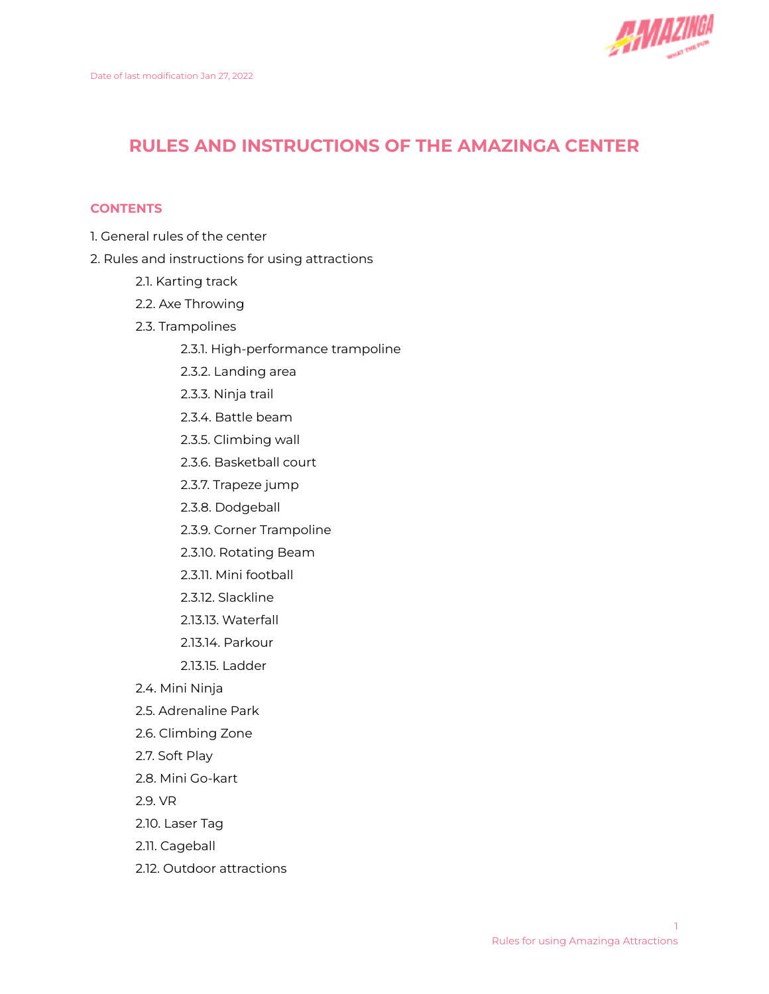

# **RULES AND INSTRUCTIONS OF THE AMAZINGA CENTER**

## **CONTENTS**

- 1. General rules of the center
- 2. Rules and instructions for using attractions
	- 2.1. Karting track
	- 2.2. Axe Throwing
	- 2.3. Trampolines
		- 2.3.1. High-performance trampoline
		- 2.3.2. Landing area
		- 2.3.3. Ninja trail
		- 2.3.4. Battle beam
		- 2.3.5. Climbing wall
		- 2.3.6. Basketball court
		- 2.3.7. Trapeze jump
		- 2.3.8. Dodgeball
		- 2.3.9. Corner Trampoline
		- 2.3.10. Rotating Beam
		- 2.3.11. Mini football
		- 2.3.12. Slackline
		- 2.13.13. Waterfall
		- 2.13.14. Parkour
		- 2.13.15. Ladder
	- 2.4. Mini Ninja
	- 2.5. Adrenaline Park
	- 2.6. Climbing Zone
	- 2.7. Soft Play
	- 2.8. Mini Go-kart
	- 2.9. VR
	- 2.10. Laser Tag
	- 2.11. Cageball
	- 2.12. Outdoor attractions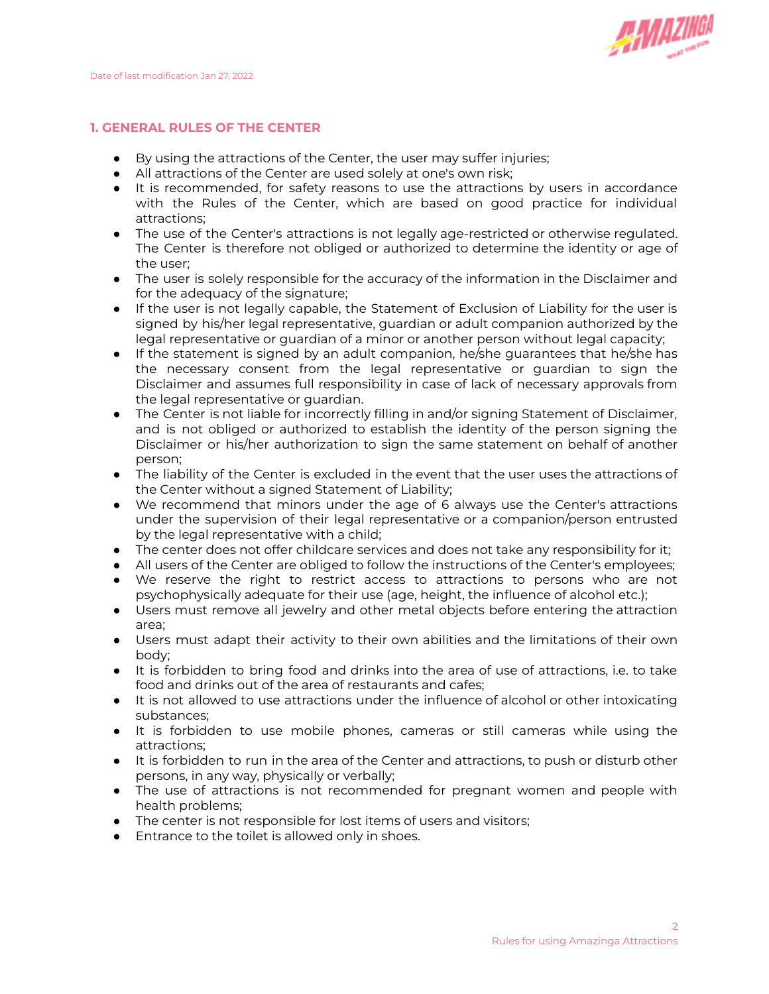

## **1. GENERAL RULES OF THE CENTER**

- By using the attractions of the Center, the user may suffer injuries;
- All attractions of the Center are used solely at one's own risk;
- It is recommended, for safety reasons to use the attractions by users in accordance with the Rules of the Center, which are based on good practice for individual attractions;
- The use of the Center's attractions is not legally age-restricted or otherwise regulated. The Center is therefore not obliged or authorized to determine the identity or age of the user;
- The user is solely responsible for the accuracy of the information in the Disclaimer and for the adequacy of the signature;
- If the user is not legally capable, the Statement of Exclusion of Liability for the user is signed by his/her legal representative, guardian or adult companion authorized by the legal representative or guardian of a minor or another person without legal capacity;
- If the statement is signed by an adult companion, he/she guarantees that he/she has the necessary consent from the legal representative or guardian to sign the Disclaimer and assumes full responsibility in case of lack of necessary approvals from the legal representative or guardian.
- The Center is not liable for incorrectly filling in and/or signing Statement of Disclaimer, and is not obliged or authorized to establish the identity of the person signing the Disclaimer or his/her authorization to sign the same statement on behalf of another person;
- The liability of the Center is excluded in the event that the user uses the attractions of the Center without a signed Statement of Liability;
- We recommend that minors under the age of 6 always use the Center's attractions under the supervision of their legal representative or a companion/person entrusted by the legal representative with a child;
- The center does not offer childcare services and does not take any responsibility for it;
- All users of the Center are obliged to follow the instructions of the Center's employees;
- We reserve the right to restrict access to attractions to persons who are not psychophysically adequate for their use (age, height, the influence of alcohol etc.);
- Users must remove all jewelry and other metal objects before entering the attraction area;
- Users must adapt their activity to their own abilities and the limitations of their own body;
- It is forbidden to bring food and drinks into the area of use of attractions, i.e. to take food and drinks out of the area of restaurants and cafes;
- It is not allowed to use attractions under the influence of alcohol or other intoxicating substances;
- It is forbidden to use mobile phones, cameras or still cameras while using the attractions;
- It is forbidden to run in the area of the Center and attractions, to push or disturb other persons, in any way, physically or verbally;
- The use of attractions is not recommended for pregnant women and people with health problems;
- The center is not responsible for lost items of users and visitors;
- Entrance to the toilet is allowed only in shoes.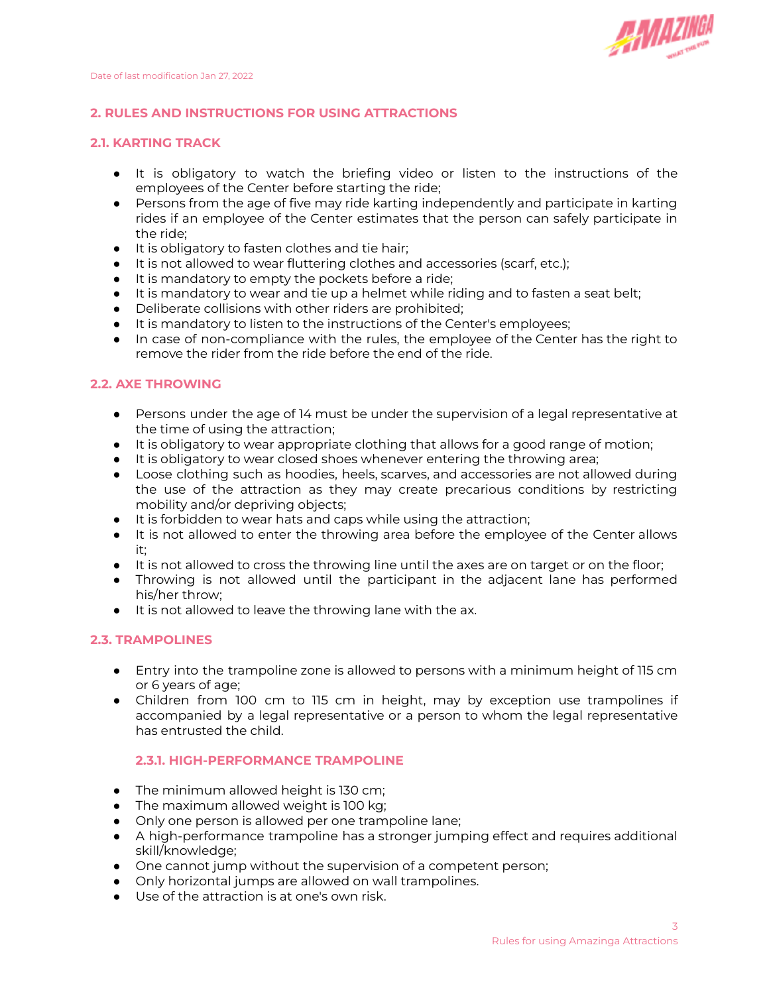

## **2. RULES AND INSTRUCTIONS FOR USING ATTRACTIONS**

#### **2.1. KARTING TRACK**

- It is obligatory to watch the briefing video or listen to the instructions of the employees of the Center before starting the ride;
- Persons from the age of five may ride karting independently and participate in karting rides if an employee of the Center estimates that the person can safely participate in the ride;
- It is obligatory to fasten clothes and tie hair;
- It is not allowed to wear fluttering clothes and accessories (scarf, etc.);
- It is mandatory to empty the pockets before a ride;
- It is mandatory to wear and tie up a helmet while riding and to fasten a seat belt;
- Deliberate collisions with other riders are prohibited;
- It is mandatory to listen to the instructions of the Center's employees;
- In case of non-compliance with the rules, the employee of the Center has the right to remove the rider from the ride before the end of the ride.

#### **2.2. AXE THROWING**

- Persons under the age of 14 must be under the supervision of a legal representative at the time of using the attraction;
- It is obligatory to wear appropriate clothing that allows for a good range of motion;
- It is obligatory to wear closed shoes whenever entering the throwing area;
- Loose clothing such as hoodies, heels, scarves, and accessories are not allowed during the use of the attraction as they may create precarious conditions by restricting mobility and/or depriving objects;
- It is forbidden to wear hats and caps while using the attraction;
- It is not allowed to enter the throwing area before the employee of the Center allows it;
- It is not allowed to cross the throwing line until the axes are on target or on the floor;
- Throwing is not allowed until the participant in the adjacent lane has performed his/her throw;
- It is not allowed to leave the throwing lane with the ax.

#### **2.3. TRAMPOLINES**

- Entry into the trampoline zone is allowed to persons with a minimum height of 115 cm or 6 years of age;
- Children from 100 cm to 115 cm in height, may by exception use trampolines if accompanied by a legal representative or a person to whom the legal representative has entrusted the child.

## **2.3.1. HIGH-PERFORMANCE TRAMPOLINE**

- The minimum allowed height is 130 cm;
- The maximum allowed weight is 100 kg;
- Only one person is allowed per one trampoline lane;
- A high-performance trampoline has a stronger jumping effect and requires additional skill/knowledge;
- One cannot jump without the supervision of a competent person;
- Only horizontal jumps are allowed on wall trampolines.
- Use of the attraction is at one's own risk.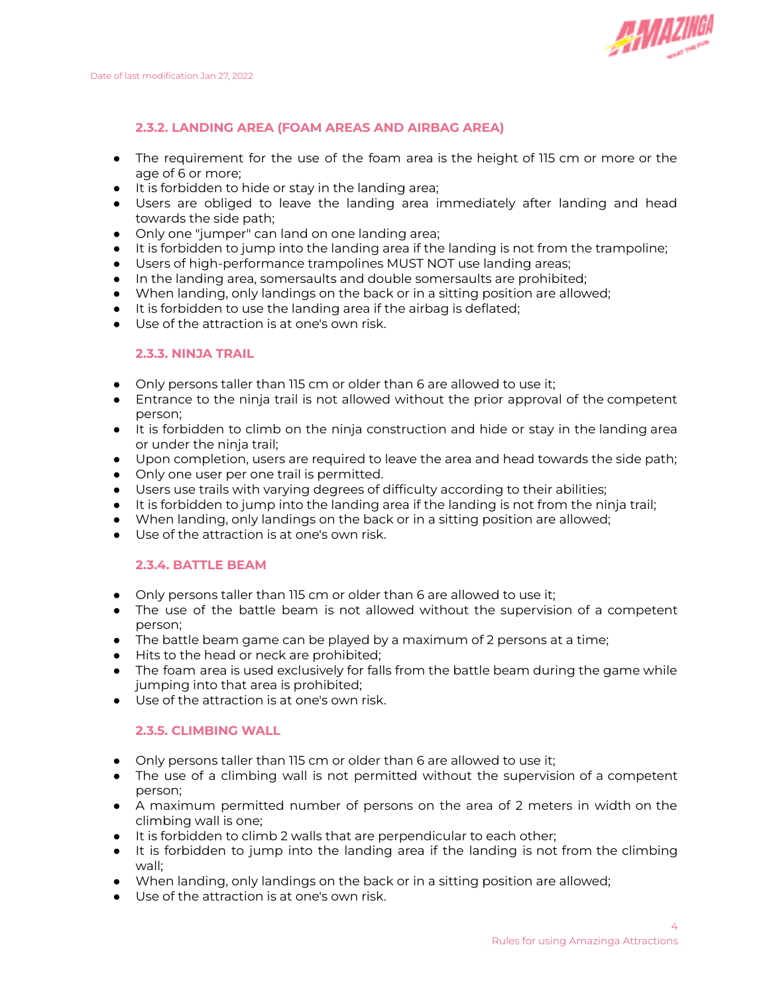

# **2.3.2. LANDING AREA (FOAM AREAS AND AIRBAG AREA)**

- The requirement for the use of the foam area is the height of 115 cm or more or the age of 6 or more;
- It is forbidden to hide or stay in the landing area;
- Users are obliged to leave the landing area immediately after landing and head towards the side path;
- Only one "jumper" can land on one landing area;
- It is forbidden to jump into the landing area if the landing is not from the trampoline;
- Users of high-performance trampolines MUST NOT use landing areas;
- In the landing area, somersaults and double somersaults are prohibited;
- When landing, only landings on the back or in a sitting position are allowed;
- It is forbidden to use the landing area if the airbag is deflated;
- Use of the attraction is at one's own risk.

#### **2.3.3. NINJA TRAIL**

- Only persons taller than 115 cm or older than 6 are allowed to use it;
- Entrance to the ninja trail is not allowed without the prior approval of the competent person;
- It is forbidden to climb on the ninja construction and hide or stay in the landing area or under the ninja trail;
- Upon completion, users are required to leave the area and head towards the side path;
- Only one user per one trail is permitted.
- Users use trails with varying degrees of difficulty according to their abilities;
- It is forbidden to jump into the landing area if the landing is not from the ninja trail;
- When landing, only landings on the back or in a sitting position are allowed;
- Use of the attraction is at one's own risk.

## **2.3.4. BATTLE BEAM**

- Only persons taller than 115 cm or older than 6 are allowed to use it;
- The use of the battle beam is not allowed without the supervision of a competent person;
- The battle beam game can be played by a maximum of 2 persons at a time;
- Hits to the head or neck are prohibited;
- The foam area is used exclusively for falls from the battle beam during the game while jumping into that area is prohibited;
- Use of the attraction is at one's own risk.

#### **2.3.5. CLIMBING WALL**

- Only persons taller than 115 cm or older than 6 are allowed to use it;
- The use of a climbing wall is not permitted without the supervision of a competent person;
- A maximum permitted number of persons on the area of 2 meters in width on the climbing wall is one;
- It is forbidden to climb 2 walls that are perpendicular to each other;
- It is forbidden to jump into the landing area if the landing is not from the climbing wall;
- When landing, only landings on the back or in a sitting position are allowed;
- Use of the attraction is at one's own risk.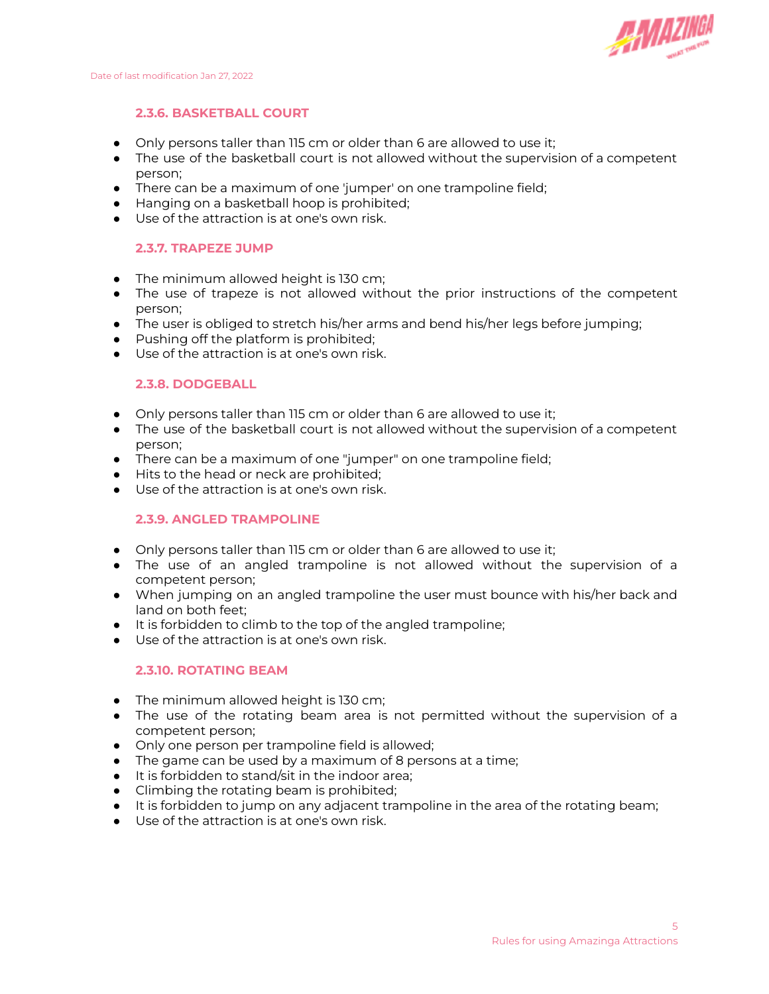

#### **2.3.6. BASKETBALL COURT**

- Only persons taller than 115 cm or older than 6 are allowed to use it;
- The use of the basketball court is not allowed without the supervision of a competent person;
- There can be a maximum of one 'jumper' on one trampoline field;
- Hanging on a basketball hoop is prohibited;
- Use of the attraction is at one's own risk.

#### **2.3.7. TRAPEZE JUMP**

- The minimum allowed height is 130 cm;
- The use of trapeze is not allowed without the prior instructions of the competent person;
- The user is obliged to stretch his/her arms and bend his/her legs before jumping;
- Pushing off the platform is prohibited;
- Use of the attraction is at one's own risk.

#### **2.3.8. DODGEBALL**

- Only persons taller than 115 cm or older than 6 are allowed to use it;
- The use of the basketball court is not allowed without the supervision of a competent person;
- There can be a maximum of one "jumper" on one trampoline field;
- Hits to the head or neck are prohibited;
- Use of the attraction is at one's own risk.

## **2.3.9. ANGLED TRAMPOLINE**

- Only persons taller than 115 cm or older than 6 are allowed to use it;
- The use of an angled trampoline is not allowed without the supervision of a competent person;
- When jumping on an angled trampoline the user must bounce with his/her back and land on both feet;
- It is forbidden to climb to the top of the angled trampoline;
- Use of the attraction is at one's own risk.

#### **2.3.10. ROTATING BEAM**

- The minimum allowed height is 130 cm;
- The use of the rotating beam area is not permitted without the supervision of a competent person;
- Only one person per trampoline field is allowed;
- The game can be used by a maximum of 8 persons at a time;
- It is forbidden to stand/sit in the indoor area;
- Climbing the rotating beam is prohibited;
- It is forbidden to jump on any adjacent trampoline in the area of the rotating beam;
- Use of the attraction is at one's own risk.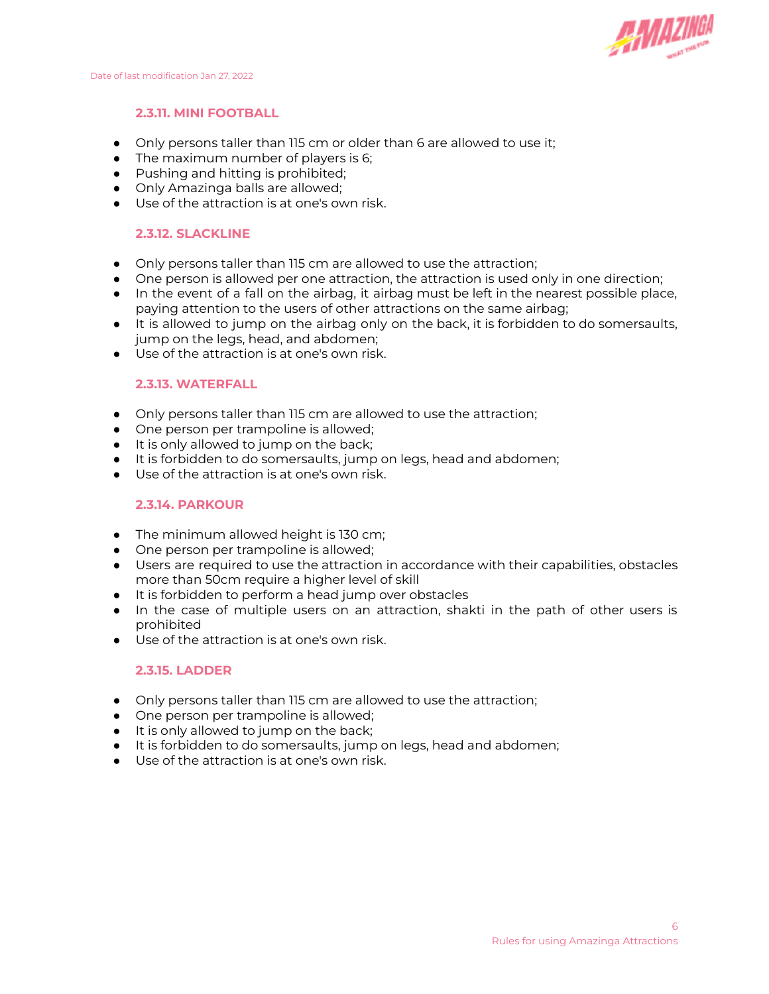

## **2.3.11. MINI FOOTBALL**

- Only persons taller than 115 cm or older than 6 are allowed to use it;
- The maximum number of players is 6;
- Pushing and hitting is prohibited;
- Only Amazinga balls are allowed;
- Use of the attraction is at one's own risk.

## **2.3.12. SLACKLINE**

- Only persons taller than 115 cm are allowed to use the attraction;
- One person is allowed per one attraction, the attraction is used only in one direction;
- In the event of a fall on the airbag, it airbag must be left in the nearest possible place, paying attention to the users of other attractions on the same airbag;
- It is allowed to jump on the airbag only on the back, it is forbidden to do somersaults, jump on the legs, head, and abdomen;
- Use of the attraction is at one's own risk.

## **2.3.13. WATERFALL**

- Only persons taller than 115 cm are allowed to use the attraction;
- One person per trampoline is allowed;
- It is only allowed to jump on the back;
- It is forbidden to do somersaults, jump on legs, head and abdomen;
- Use of the attraction is at one's own risk.

## **2.3.14. PARKOUR**

- The minimum allowed height is 130 cm;
- One person per trampoline is allowed;
- Users are required to use the attraction in accordance with their capabilities, obstacles more than 50cm require a higher level of skill
- It is forbidden to perform a head jump over obstacles
- In the case of multiple users on an attraction, shakti in the path of other users is prohibited
- Use of the attraction is at one's own risk.

## **2.3.15. LADDER**

- Only persons taller than 115 cm are allowed to use the attraction;
- One person per trampoline is allowed;
- It is only allowed to jump on the back;
- It is forbidden to do somersaults, jump on legs, head and abdomen;
- Use of the attraction is at one's own risk.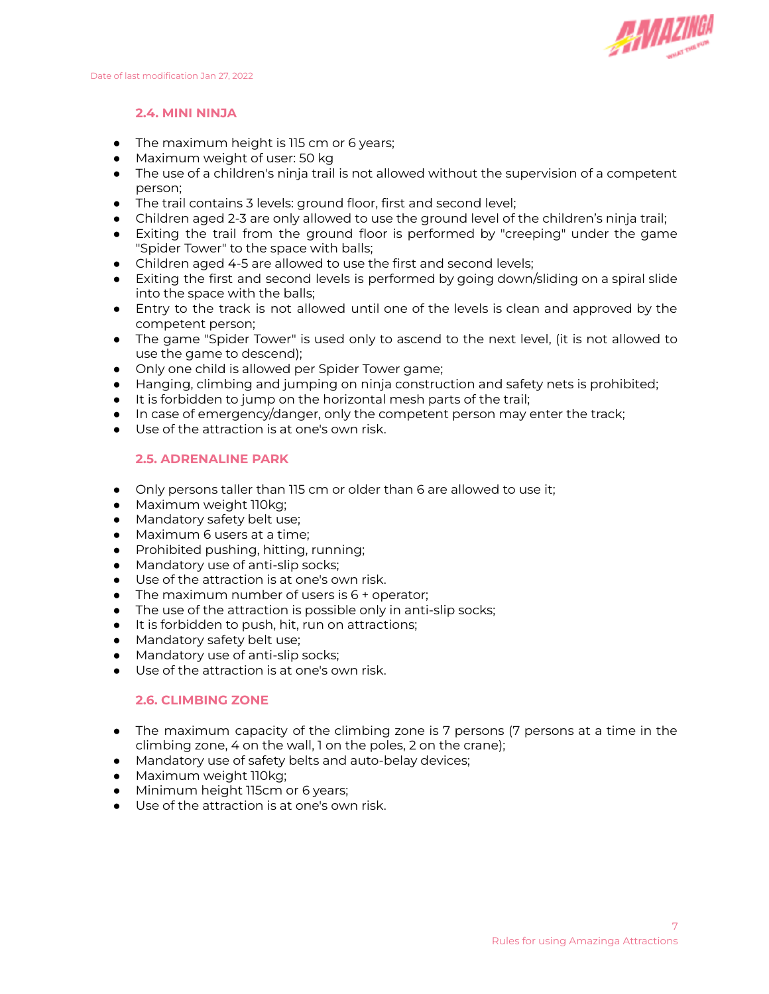

## **2.4. MINI NINJA**

- The maximum height is 115 cm or 6 years;
- Maximum weight of user: 50 kg
- The use of a children's ninja trail is not allowed without the supervision of a competent person;
- The trail contains 3 levels: ground floor, first and second level;
- Children aged 2-3 are only allowed to use the ground level of the children's ninja trail;
- Exiting the trail from the ground floor is performed by "creeping" under the game "Spider Tower" to the space with balls;
- Children aged 4-5 are allowed to use the first and second levels;
- Exiting the first and second levels is performed by going down/sliding on a spiral slide into the space with the balls;
- Entry to the track is not allowed until one of the levels is clean and approved by the competent person;
- The game "Spider Tower" is used only to ascend to the next level, (it is not allowed to use the game to descend);
- Only one child is allowed per Spider Tower game;
- Hanging, climbing and jumping on ninja construction and safety nets is prohibited;
- It is forbidden to jump on the horizontal mesh parts of the trail;
- In case of emergency/danger, only the competent person may enter the track;
- Use of the attraction is at one's own risk.

#### **2.5. ADRENALINE PARK**

- Only persons taller than 115 cm or older than 6 are allowed to use it;
- Maximum weight 110kg;
- Mandatory safety belt use;
- Maximum 6 users at a time;
- Prohibited pushing, hitting, running;
- Mandatory use of anti-slip socks;
- Use of the attraction is at one's own risk.
- The maximum number of users is 6 + operator;
- The use of the attraction is possible only in anti-slip socks;
- It is forbidden to push, hit, run on attractions;
- Mandatory safety belt use;
- Mandatory use of anti-slip socks;
- Use of the attraction is at one's own risk.

## **2.6. CLIMBING ZONE**

- The maximum capacity of the climbing zone is 7 persons (7 persons at a time in the climbing zone, 4 on the wall, 1 on the poles, 2 on the crane);
- Mandatory use of safety belts and auto-belay devices;
- Maximum weight 110kg;
- Minimum height 115cm or 6 years;
- Use of the attraction is at one's own risk.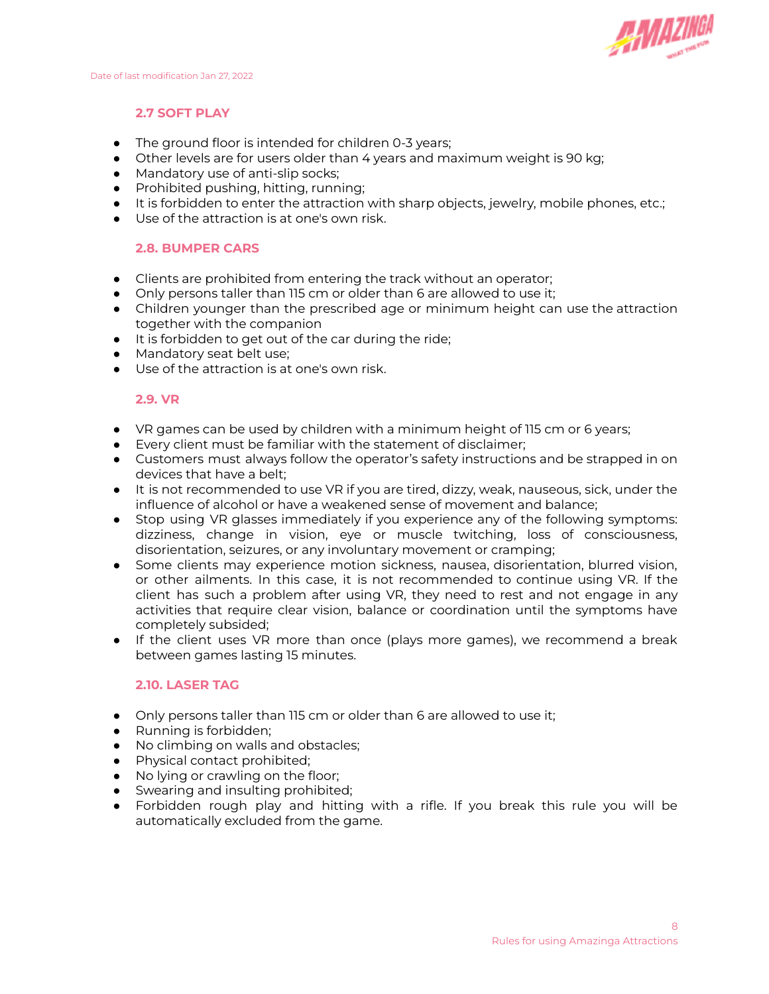

## **2.7 SOFT PLAY**

- The ground floor is intended for children 0-3 years;
- Other levels are for users older than 4 years and maximum weight is 90 kg;
- Mandatory use of anti-slip socks;
- Prohibited pushing, hitting, running;
- It is forbidden to enter the attraction with sharp objects, jewelry, mobile phones, etc.;
- Use of the attraction is at one's own risk.

#### **2.8. BUMPER CARS**

- Clients are prohibited from entering the track without an operator;
- Only persons taller than 115 cm or older than 6 are allowed to use it;
- Children younger than the prescribed age or minimum height can use the attraction together with the companion
- It is forbidden to get out of the car during the ride;
- Mandatory seat belt use;
- Use of the attraction is at one's own risk.

#### **2.9. VR**

- VR games can be used by children with a minimum height of 115 cm or 6 years;
- Every client must be familiar with the statement of disclaimer;
- Customers must always follow the operator's safety instructions and be strapped in on devices that have a belt;
- It is not recommended to use VR if you are tired, dizzy, weak, nauseous, sick, under the influence of alcohol or have a weakened sense of movement and balance;
- Stop using VR glasses immediately if you experience any of the following symptoms: dizziness, change in vision, eye or muscle twitching, loss of consciousness, disorientation, seizures, or any involuntary movement or cramping;
- Some clients may experience motion sickness, nausea, disorientation, blurred vision, or other ailments. In this case, it is not recommended to continue using VR. If the client has such a problem after using VR, they need to rest and not engage in any activities that require clear vision, balance or coordination until the symptoms have completely subsided;
- If the client uses VR more than once (plays more games), we recommend a break between games lasting 15 minutes.

#### **2.10. LASER TAG**

- Only persons taller than 115 cm or older than 6 are allowed to use it;
- Running is forbidden;
- No climbing on walls and obstacles;
- Physical contact prohibited;
- No lying or crawling on the floor;
- Swearing and insulting prohibited;
- Forbidden rough play and hitting with a rifle. If you break this rule you will be automatically excluded from the game.